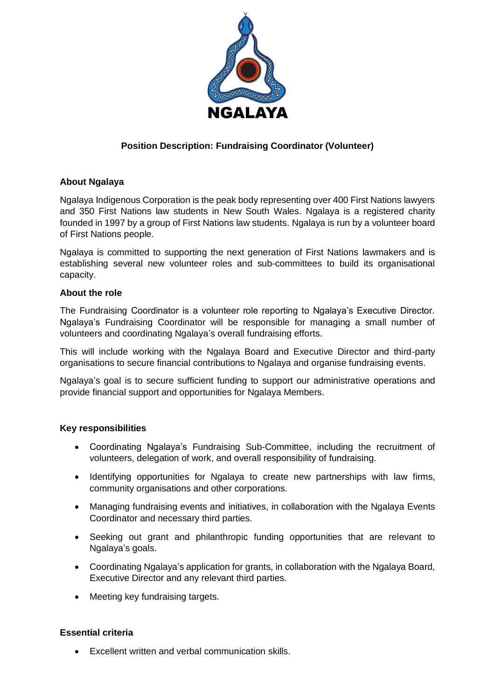

# **Position Description: Fundraising Coordinator (Volunteer)**

## **About Ngalaya**

Ngalaya Indigenous Corporation is the peak body representing over 400 First Nations lawyers and 350 First Nations law students in New South Wales. Ngalaya is a registered charity founded in 1997 by a group of First Nations law students. Ngalaya is run by a volunteer board of First Nations people.

Ngalaya is committed to supporting the next generation of First Nations lawmakers and is establishing several new volunteer roles and sub-committees to build its organisational capacity.

### **About the role**

The Fundraising Coordinator is a volunteer role reporting to Ngalaya's Executive Director. Ngalaya's Fundraising Coordinator will be responsible for managing a small number of volunteers and coordinating Ngalaya's overall fundraising efforts.

This will include working with the Ngalaya Board and Executive Director and third-party organisations to secure financial contributions to Ngalaya and organise fundraising events.

Ngalaya's goal is to secure sufficient funding to support our administrative operations and provide financial support and opportunities for Ngalaya Members.

### **Key responsibilities**

- Coordinating Ngalaya's Fundraising Sub-Committee, including the recruitment of volunteers, delegation of work, and overall responsibility of fundraising.
- Identifying opportunities for Ngalaya to create new partnerships with law firms, community organisations and other corporations.
- Managing fundraising events and initiatives, in collaboration with the Ngalaya Events Coordinator and necessary third parties.
- Seeking out grant and philanthropic funding opportunities that are relevant to Ngalaya's goals.
- Coordinating Ngalaya's application for grants, in collaboration with the Ngalaya Board, Executive Director and any relevant third parties.
- Meeting key fundraising targets.

### **Essential criteria**

• Excellent written and verbal communication skills.